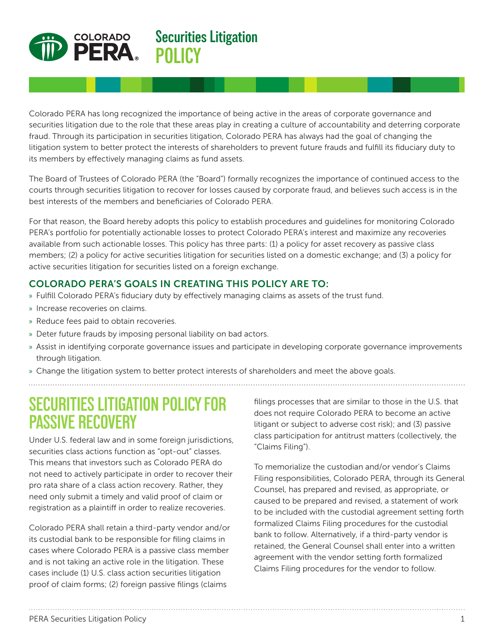

**Securities Litigation POLICY**

Colorado PERA has long recognized the importance of being active in the areas of corporate governance and securities litigation due to the role that these areas play in creating a culture of accountability and deterring corporate fraud. Through its participation in securities litigation, Colorado PERA has always had the goal of changing the litigation system to better protect the interests of shareholders to prevent future frauds and fulfill its fiduciary duty to its members by effectively managing claims as fund assets.

The Board of Trustees of Colorado PERA (the "Board") formally recognizes the importance of continued access to the courts through securities litigation to recover for losses caused by corporate fraud, and believes such access is in the best interests of the members and beneficiaries of Colorado PERA.

For that reason, the Board hereby adopts this policy to establish procedures and guidelines for monitoring Colorado PERA's portfolio for potentially actionable losses to protect Colorado PERA's interest and maximize any recoveries available from such actionable losses. This policy has three parts: (1) a policy for asset recovery as passive class members; (2) a policy for active securities litigation for securities listed on a domestic exchange; and (3) a policy for active securities litigation for securities listed on a foreign exchange.

## COLORADO PERA'S GOALS IN CREATING THIS POLICY ARE TO:

- » Fulfill Colorado PERA's fiduciary duty by effectively managing claims as assets of the trust fund.
- » Increase recoveries on claims.
- » Reduce fees paid to obtain recoveries.
- » Deter future frauds by imposing personal liability on bad actors.
- » Assist in identifying corporate governance issues and participate in developing corporate governance improvements through litigation.

» Change the litigation system to better protect interests of shareholders and meet the above goals.

# **SECURITIES LITIGATION POLICY FOR PASSIVE RECOVERY**

Under U.S. federal law and in some foreign jurisdictions, securities class actions function as "opt-out" classes. This means that investors such as Colorado PERA do not need to actively participate in order to recover their pro rata share of a class action recovery. Rather, they need only submit a timely and valid proof of claim or registration as a plaintiff in order to realize recoveries.

Colorado PERA shall retain a third-party vendor and/or its custodial bank to be responsible for filing claims in cases where Colorado PERA is a passive class member and is not taking an active role in the litigation. These cases include (1) U.S. class action securities litigation proof of claim forms; (2) foreign passive filings (claims

filings processes that are similar to those in the U.S. that does not require Colorado PERA to become an active litigant or subject to adverse cost risk); and (3) passive class participation for antitrust matters (collectively, the "Claims Filing").

To memorialize the custodian and/or vendor's Claims Filing responsibilities, Colorado PERA, through its General Counsel, has prepared and revised, as appropriate, or caused to be prepared and revised, a statement of work to be included with the custodial agreement setting forth formalized Claims Filing procedures for the custodial bank to follow. Alternatively, if a third-party vendor is retained, the General Counsel shall enter into a written agreement with the vendor setting forth formalized Claims Filing procedures for the vendor to follow.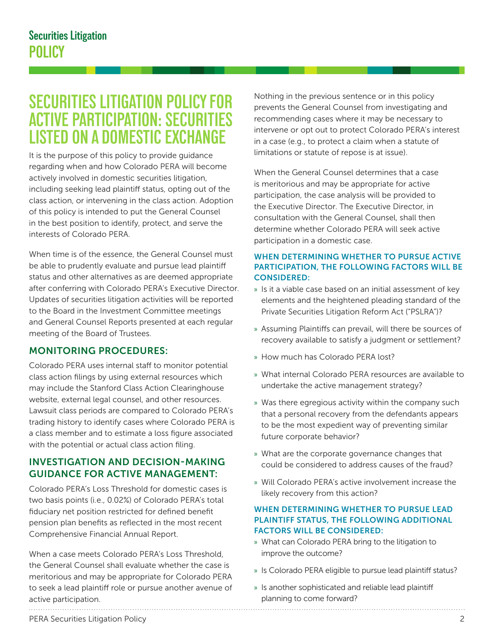# **SECURITIES LITIGATION POLICY FOR ACTIVE PARTICIPATION: SECURITIES LISTED ON A DOMESTIC EXCHANGE**

It is the purpose of this policy to provide guidance regarding when and how Colorado PERA will become actively involved in domestic securities litigation, including seeking lead plaintiff status, opting out of the class action, or intervening in the class action. Adoption of this policy is intended to put the General Counsel in the best position to identify, protect, and serve the interests of Colorado PERA.

When time is of the essence, the General Counsel must be able to prudently evaluate and pursue lead plaintiff status and other alternatives as are deemed appropriate after conferring with Colorado PERA's Executive Director. Updates of securities litigation activities will be reported to the Board in the Investment Committee meetings and General Counsel Reports presented at each regular meeting of the Board of Trustees.

### MONITORING PROCEDURES:

Colorado PERA uses internal staff to monitor potential class action filings by using external resources which may include the Stanford Class Action Clearinghouse website, external legal counsel, and other resources. Lawsuit class periods are compared to Colorado PERA's trading history to identify cases where Colorado PERA is a class member and to estimate a loss figure associated with the potential or actual class action filing.

### INVESTIGATION AND DECISION-MAKING GUIDANCE FOR ACTIVE MANAGEMENT:

Colorado PERA's Loss Threshold for domestic cases is two basis points (i.e., 0.02%) of Colorado PERA's total fiduciary net position restricted for defined benefit pension plan benefits as reflected in the most recent Comprehensive Financial Annual Report.

When a case meets Colorado PERA's Loss Threshold, the General Counsel shall evaluate whether the case is meritorious and may be appropriate for Colorado PERA to seek a lead plaintiff role or pursue another avenue of active participation.

Nothing in the previous sentence or in this policy prevents the General Counsel from investigating and recommending cases where it may be necessary to intervene or opt out to protect Colorado PERA's interest in a case (e.g., to protect a claim when a statute of limitations or statute of repose is at issue).

When the General Counsel determines that a case is meritorious and may be appropriate for active participation, the case analysis will be provided to the Executive Director. The Executive Director, in consultation with the General Counsel, shall then determine whether Colorado PERA will seek active participation in a domestic case.

#### WHEN DETERMINING WHETHER TO PURSUE ACTIVE PARTICIPATION, THE FOLLOWING FACTORS WILL BE CONSIDERED:

- » Is it a viable case based on an initial assessment of key elements and the heightened pleading standard of the Private Securities Litigation Reform Act ("PSLRA")?
- » Assuming Plaintiffs can prevail, will there be sources of recovery available to satisfy a judgment or settlement?
- » How much has Colorado PERA lost?
- » What internal Colorado PERA resources are available to undertake the active management strategy?
- » Was there egregious activity within the company such that a personal recovery from the defendants appears to be the most expedient way of preventing similar future corporate behavior?
- » What are the corporate governance changes that could be considered to address causes of the fraud?
- » Will Colorado PERA's active involvement increase the likely recovery from this action?

#### WHEN DETERMINING WHETHER TO PURSUE LEAD PLAINTIFF STATUS, THE FOLLOWING ADDITIONAL FACTORS WILL BE CONSIDERED:

- » What can Colorado PERA bring to the litigation to improve the outcome?
- » Is Colorado PERA eligible to pursue lead plaintiff status?
- » Is another sophisticated and reliable lead plaintiff planning to come forward?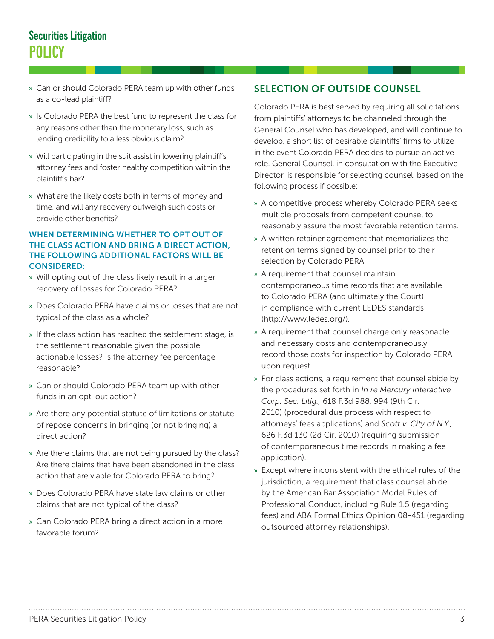## **Securities Litigation POLICY**

- » Can or should Colorado PERA team up with other funds as a co-lead plaintiff?
- » Is Colorado PERA the best fund to represent the class for any reasons other than the monetary loss, such as lending credibility to a less obvious claim?
- » Will participating in the suit assist in lowering plaintiff's attorney fees and foster healthy competition within the plaintiff's bar?
- » What are the likely costs both in terms of money and time, and will any recovery outweigh such costs or provide other benefits?

#### WHEN DETERMINING WHETHER TO OPT OUT OF THE CLASS ACTION AND BRING A DIRECT ACTION, THE FOLLOWING ADDITIONAL FACTORS WILL BE CONSIDERED:

- » Will opting out of the class likely result in a larger recovery of losses for Colorado PERA?
- » Does Colorado PERA have claims or losses that are not typical of the class as a whole?
- » If the class action has reached the settlement stage, is the settlement reasonable given the possible actionable losses? Is the attorney fee percentage reasonable?
- » Can or should Colorado PERA team up with other funds in an opt-out action?
- » Are there any potential statute of limitations or statute of repose concerns in bringing (or not bringing) a direct action?
- » Are there claims that are not being pursued by the class? Are there claims that have been abandoned in the class action that are viable for Colorado PERA to bring?
- » Does Colorado PERA have state law claims or other claims that are not typical of the class?
- » Can Colorado PERA bring a direct action in a more favorable forum?

## SELECTION OF OUTSIDE COUNSEL

Colorado PERA is best served by requiring all solicitations from plaintiffs' attorneys to be channeled through the General Counsel who has developed, and will continue to develop, a short list of desirable plaintiffs' firms to utilize in the event Colorado PERA decides to pursue an active role. General Counsel, in consultation with the Executive Director, is responsible for selecting counsel, based on the following process if possible:

- » A competitive process whereby Colorado PERA seeks multiple proposals from competent counsel to reasonably assure the most favorable retention terms.
- » A written retainer agreement that memorializes the retention terms signed by counsel prior to their selection by Colorado PERA.
- » A requirement that counsel maintain contemporaneous time records that are available to Colorado PERA (and ultimately the Court) in compliance with current LEDES standards (http://www.ledes.org/).
- » A requirement that counsel charge only reasonable and necessary costs and contemporaneously record those costs for inspection by Colorado PERA upon request.
- » For class actions, a requirement that counsel abide by the procedures set forth in *In re Mercury Interactive Corp. Sec. Litig.,* 618 F.3d 988, 994 (9th Cir. 2010) (procedural due process with respect to attorneys' fees applications) and *Scott v. City of N.Y.,*  626 F.3d 130 (2d Cir. 2010) (requiring submission of contemporaneous time records in making a fee application).
- » Except where inconsistent with the ethical rules of the jurisdiction, a requirement that class counsel abide by the American Bar Association Model Rules of Professional Conduct, including Rule 1.5 (regarding fees) and ABA Formal Ethics Opinion 08-451 (regarding outsourced attorney relationships).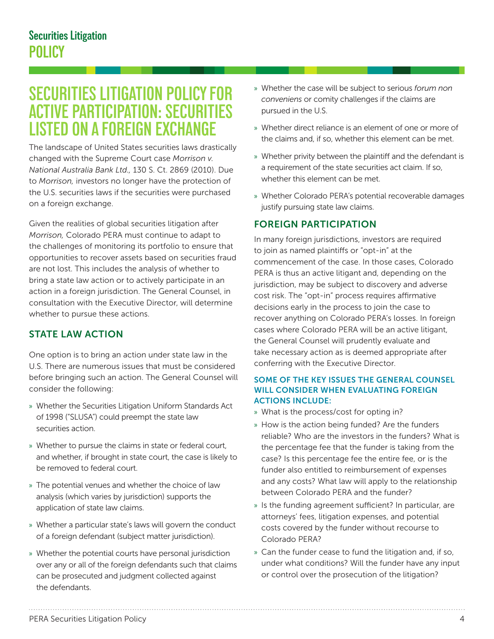## **SECURITIES LITIGATION POLICY FOR ACTIVE PARTICIPATION: SECURITIES LISTED ON A FOREIGN EXCHANGE**

The landscape of United States securities laws drastically changed with the Supreme Court case *Morrison v. National Australia Bank Ltd.,* 130 S. Ct. 2869 (2010). Due to *Morrison,* investors no longer have the protection of the U.S. securities laws if the securities were purchased on a foreign exchange.

Given the realities of global securities litigation after *Morrison,* Colorado PERA must continue to adapt to the challenges of monitoring its portfolio to ensure that opportunities to recover assets based on securities fraud are not lost. This includes the analysis of whether to bring a state law action or to actively participate in an action in a foreign jurisdiction. The General Counsel, in consultation with the Executive Director, will determine whether to pursue these actions.

## STATE LAW ACTION

One option is to bring an action under state law in the U.S. There are numerous issues that must be considered before bringing such an action. The General Counsel will consider the following:

- » Whether the Securities Litigation Uniform Standards Act of 1998 ("SLUSA") could preempt the state law securities action.
- » Whether to pursue the claims in state or federal court, and whether, if brought in state court, the case is likely to be removed to federal court.
- » The potential venues and whether the choice of law analysis (which varies by jurisdiction) supports the application of state law claims.
- » Whether a particular state's laws will govern the conduct of a foreign defendant (subject matter jurisdiction).
- » Whether the potential courts have personal jurisdiction over any or all of the foreign defendants such that claims can be prosecuted and judgment collected against the defendants.
- » Whether the case will be subject to serious *forum non conveniens* or comity challenges if the claims are pursued in the U.S.
- » Whether direct reliance is an element of one or more of the claims and, if so, whether this element can be met.
- » Whether privity between the plaintiff and the defendant is a requirement of the state securities act claim. If so, whether this element can be met.
- » Whether Colorado PERA's potential recoverable damages justify pursuing state law claims.

### FOREIGN PARTICIPATION

In many foreign jurisdictions, investors are required to join as named plaintiffs or "opt-in" at the commencement of the case. In those cases, Colorado PERA is thus an active litigant and, depending on the jurisdiction, may be subject to discovery and adverse cost risk. The "opt-in" process requires affirmative decisions early in the process to join the case to recover anything on Colorado PERA's losses. In foreign cases where Colorado PERA will be an active litigant, the General Counsel will prudently evaluate and take necessary action as is deemed appropriate after conferring with the Executive Director.

#### SOME OF THE KEY ISSUES THE GENERAL COUNSEL WILL CONSIDER WHEN EVALUATING FOREIGN ACTIONS INCLUDE:

- » What is the process/cost for opting in?
- » How is the action being funded? Are the funders reliable? Who are the investors in the funders? What is the percentage fee that the funder is taking from the case? Is this percentage fee the entire fee, or is the funder also entitled to reimbursement of expenses and any costs? What law will apply to the relationship between Colorado PERA and the funder?
- » Is the funding agreement sufficient? In particular, are attorneys' fees, litigation expenses, and potential costs covered by the funder without recourse to Colorado PERA?
- » Can the funder cease to fund the litigation and, if so, under what conditions? Will the funder have any input or control over the prosecution of the litigation?